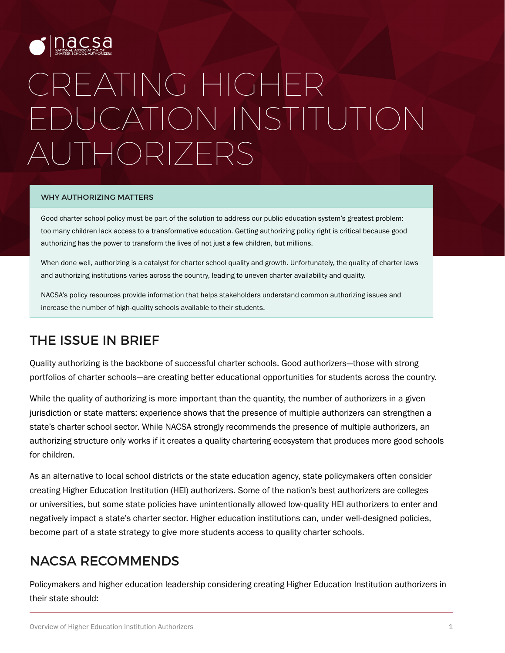

# CREATING HIGHER EDUCATION INSTITUTION AUTHORIZERS

#### WHY AUTHORIZING MATTERS

Good charter school policy must be part of the solution to address our public education system's greatest problem: too many children lack access to a transformative education. Getting authorizing policy right is critical because good authorizing has the power to transform the lives of not just a few children, but millions.

When done well, authorizing is a catalyst for charter school quality and growth. Unfortunately, the quality of charter laws and authorizing institutions varies across the country, leading to uneven charter availability and quality.

NACSA's policy resources provide information that helps stakeholders understand common authorizing issues and increase the number of high-quality schools available to their students.

## THE ISSUE IN BRIEF

Quality authorizing is the backbone of successful charter schools. Good authorizers—those with strong portfolios of charter schools—are creating better educational opportunities for students across the country.

While the quality of authorizing is more important than the quantity, the number of authorizers in a given jurisdiction or state matters: experience shows that the presence of multiple authorizers can strengthen a state's charter school sector. While NACSA strongly recommends the presence of multiple authorizers, an authorizing structure only works if it creates a quality chartering ecosystem that produces more good schools for children.

As an alternative to local school districts or the state education agency, state policymakers often consider creating Higher Education Institution (HEI) authorizers. Some of the nation's best authorizers are colleges or universities, but some state policies have unintentionally allowed low-quality HEI authorizers to enter and negatively impact a state's charter sector. Higher education institutions can, under well-designed policies, become part of a state strategy to give more students access to quality charter schools.

## NACSA RECOMMENDS

Policymakers and higher education leadership considering creating Higher Education Institution authorizers in their state should: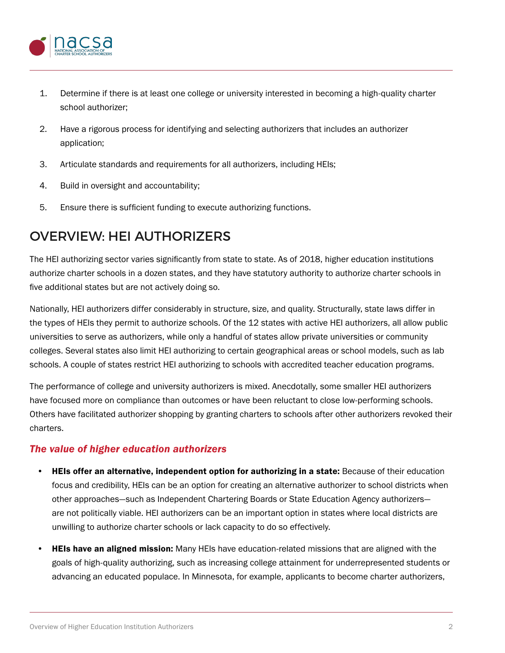

- 1. Determine if there is at least one college or university interested in becoming a high-quality charter school authorizer;
- 2. Have a rigorous process for identifying and selecting authorizers that includes an authorizer application;
- 3. Articulate standards and requirements for all authorizers, including HEIs;
- 4. Build in oversight and accountability;
- 5. Ensure there is sufficient funding to execute authorizing functions.

## OVERVIEW: HEI AUTHORIZERS

The HEI authorizing sector varies significantly from state to state. As of 2018, higher education institutions authorize charter schools in a dozen states, and they have statutory authority to authorize charter schools in five additional states but are not actively doing so.

Nationally, HEI authorizers differ considerably in structure, size, and quality. Structurally, state laws differ in the types of HEIs they permit to authorize schools. Of the 12 states with active HEI authorizers, all allow public universities to serve as authorizers, while only a handful of states allow private universities or community colleges. Several states also limit HEI authorizing to certain geographical areas or school models, such as lab schools. A couple of states restrict HEI authorizing to schools with accredited teacher education programs.

The performance of college and university authorizers is mixed. Anecdotally, some smaller HEI authorizers have focused more on compliance than outcomes or have been reluctant to close low-performing schools. Others have facilitated authorizer shopping by granting charters to schools after other authorizers revoked their charters.

#### *The value of higher education authorizers*

- HEIs offer an alternative, independent option for authorizing in a state: Because of their education focus and credibility, HEIs can be an option for creating an alternative authorizer to school districts when other approaches—such as Independent Chartering Boards or State Education Agency authorizers are not politically viable. HEI authorizers can be an important option in states where local districts are unwilling to authorize charter schools or lack capacity to do so effectively.
- **HEIs have an aligned mission:** Many HEIs have education-related missions that are aligned with the goals of high-quality authorizing, such as increasing college attainment for underrepresented students or advancing an educated populace. In Minnesota, for example, applicants to become charter authorizers,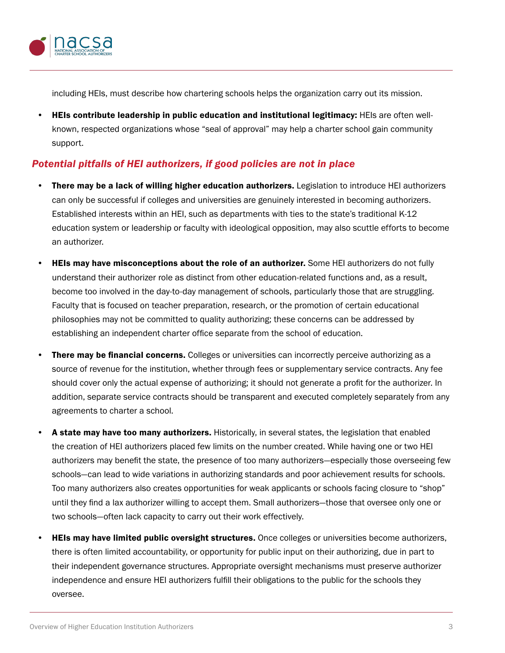

including HEIs, must describe how chartering schools helps the organization carry out its mission.

• HEIs contribute leadership in public education and institutional legitimacy: HEIs are often wellknown, respected organizations whose "seal of approval" may help a charter school gain community support.

#### *Potential pitfalls of HEI authorizers, if good policies are not in place*

- There may be a lack of willing higher education authorizers. Legislation to introduce HEI authorizers can only be successful if colleges and universities are genuinely interested in becoming authorizers. Established interests within an HEI, such as departments with ties to the state's traditional K-12 education system or leadership or faculty with ideological opposition, may also scuttle efforts to become an authorizer.
- **HEIs may have misconceptions about the role of an authorizer.** Some HEI authorizers do not fully understand their authorizer role as distinct from other education-related functions and, as a result, become too involved in the day-to-day management of schools, particularly those that are struggling. Faculty that is focused on teacher preparation, research, or the promotion of certain educational philosophies may not be committed to quality authorizing; these concerns can be addressed by establishing an independent charter office separate from the school of education.
- **There may be financial concerns.** Colleges or universities can incorrectly perceive authorizing as a source of revenue for the institution, whether through fees or supplementary service contracts. Any fee should cover only the actual expense of authorizing; it should not generate a profit for the authorizer. In addition, separate service contracts should be transparent and executed completely separately from any agreements to charter a school.
- A state may have too many authorizers. Historically, in several states, the legislation that enabled the creation of HEI authorizers placed few limits on the number created. While having one or two HEI authorizers may benefit the state, the presence of too many authorizers—especially those overseeing few schools—can lead to wide variations in authorizing standards and poor achievement results for schools. Too many authorizers also creates opportunities for weak applicants or schools facing closure to "shop" until they find a lax authorizer willing to accept them. Small authorizers—those that oversee only one or two schools—often lack capacity to carry out their work effectively.
- **HEIs may have limited public oversight structures.** Once colleges or universities become authorizers, there is often limited accountability, or opportunity for public input on their authorizing, due in part to their independent governance structures. Appropriate oversight mechanisms must preserve authorizer independence and ensure HEI authorizers fulfill their obligations to the public for the schools they oversee.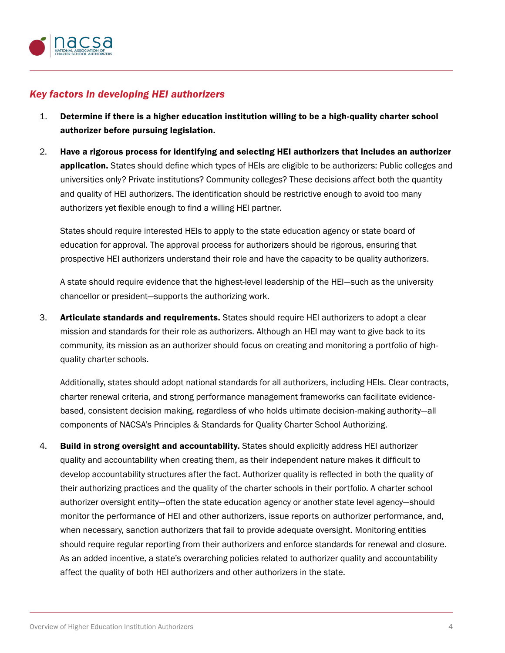

#### *Key factors in developing HEI authorizers*

- 1. Determine if there is a higher education institution willing to be a high-quality charter school authorizer before pursuing legislation.
- 2. Have a rigorous process for identifying and selecting HEI authorizers that includes an authorizer application. States should define which types of HEIs are eligible to be authorizers: Public colleges and universities only? Private institutions? Community colleges? These decisions affect both the quantity and quality of HEI authorizers. The identification should be restrictive enough to avoid too many authorizers yet flexible enough to find a willing HEI partner.

States should require interested HEIs to apply to the state education agency or state board of education for approval. The approval process for authorizers should be rigorous, ensuring that prospective HEI authorizers understand their role and have the capacity to be quality authorizers.

A state should require evidence that the highest-level leadership of the HEI—such as the university chancellor or president—supports the authorizing work.

3. Articulate standards and requirements. States should require HEI authorizers to adopt a clear mission and standards for their role as authorizers. Although an HEI may want to give back to its community, its mission as an authorizer should focus on creating and monitoring a portfolio of highquality charter schools.

Additionally, states should adopt national standards for all authorizers, including HEIs. Clear contracts, charter renewal criteria, and strong performance management frameworks can facilitate evidencebased, consistent decision making, regardless of who holds ultimate decision-making authority—all components of NACSA's Principles & Standards for Quality Charter School Authorizing.

4. Build in strong oversight and accountability. States should explicitly address HEI authorizer quality and accountability when creating them, as their independent nature makes it difficult to develop accountability structures after the fact. Authorizer quality is reflected in both the quality of their authorizing practices and the quality of the charter schools in their portfolio. A charter school authorizer oversight entity—often the state education agency or another state level agency—should monitor the performance of HEI and other authorizers, issue reports on authorizer performance, and, when necessary, sanction authorizers that fail to provide adequate oversight. Monitoring entities should require regular reporting from their authorizers and enforce standards for renewal and closure. As an added incentive, a state's overarching policies related to authorizer quality and accountability affect the quality of both HEI authorizers and other authorizers in the state.